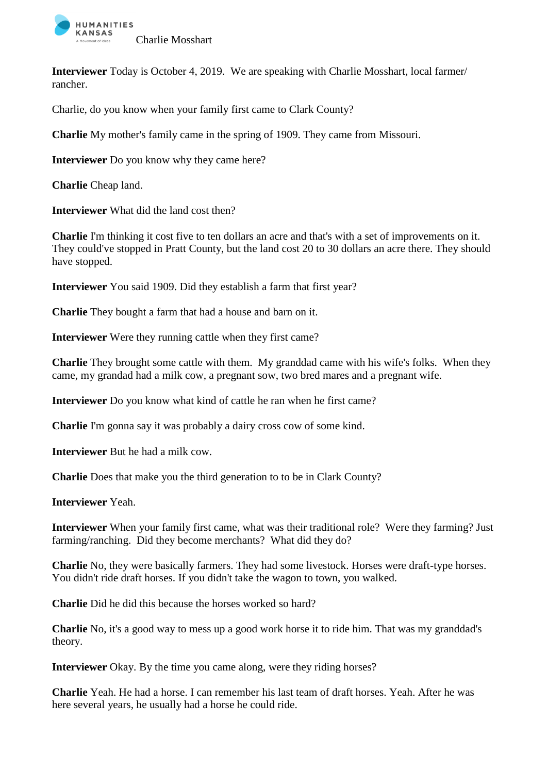

**Interviewer** Today is October 4, 2019. We are speaking with Charlie Mosshart, local farmer/ rancher.

Charlie, do you know when your family first came to Clark County?

**Charlie** My mother's family came in the spring of 1909. They came from Missouri.

**Interviewer** Do you know why they came here?

**Charlie** Cheap land.

**Interviewer** What did the land cost then?

**Charlie** I'm thinking it cost five to ten dollars an acre and that's with a set of improvements on it. They could've stopped in Pratt County, but the land cost 20 to 30 dollars an acre there. They should have stopped.

**Interviewer** You said 1909. Did they establish a farm that first year?

**Charlie** They bought a farm that had a house and barn on it.

**Interviewer** Were they running cattle when they first came?

**Charlie** They brought some cattle with them. My granddad came with his wife's folks. When they came, my grandad had a milk cow, a pregnant sow, two bred mares and a pregnant wife.

**Interviewer** Do you know what kind of cattle he ran when he first came?

**Charlie** I'm gonna say it was probably a dairy cross cow of some kind.

**Interviewer** But he had a milk cow.

**Charlie** Does that make you the third generation to to be in Clark County?

**Interviewer** Yeah.

**Interviewer** When your family first came, what was their traditional role? Were they farming? Just farming/ranching. Did they become merchants? What did they do?

**Charlie** No, they were basically farmers. They had some livestock. Horses were draft-type horses. You didn't ride draft horses. If you didn't take the wagon to town, you walked.

**Charlie** Did he did this because the horses worked so hard?

**Charlie** No, it's a good way to mess up a good work horse it to ride him. That was my granddad's theory.

**Interviewer** Okay. By the time you came along, were they riding horses?

**Charlie** Yeah. He had a horse. I can remember his last team of draft horses. Yeah. After he was here several years, he usually had a horse he could ride.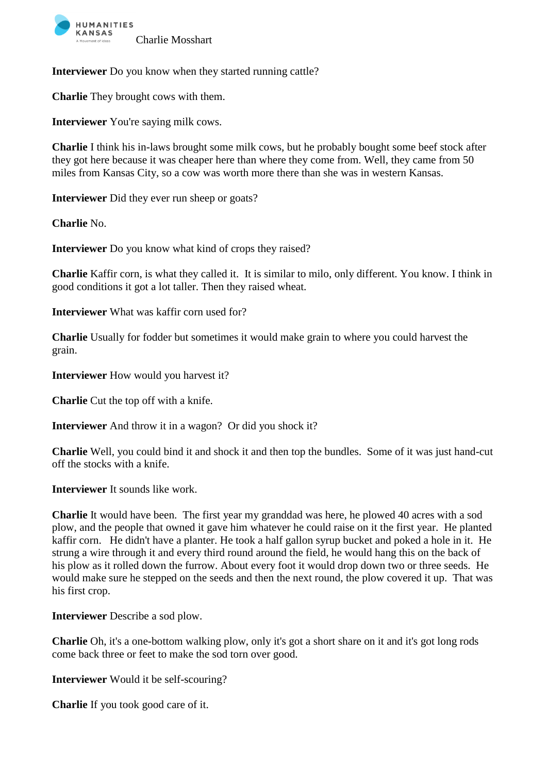

**Interviewer** Do you know when they started running cattle?

**Charlie** They brought cows with them.

**Interviewer** You're saying milk cows.

**Charlie** I think his in-laws brought some milk cows, but he probably bought some beef stock after they got here because it was cheaper here than where they come from. Well, they came from 50 miles from Kansas City, so a cow was worth more there than she was in western Kansas.

**Interviewer** Did they ever run sheep or goats?

**Charlie** No.

**Interviewer** Do you know what kind of crops they raised?

**Charlie** Kaffir corn, is what they called it. It is similar to milo, only different. You know. I think in good conditions it got a lot taller. Then they raised wheat.

**Interviewer** What was kaffir corn used for?

**Charlie** Usually for fodder but sometimes it would make grain to where you could harvest the grain.

**Interviewer** How would you harvest it?

**Charlie** Cut the top off with a knife.

**Interviewer** And throw it in a wagon? Or did you shock it?

**Charlie** Well, you could bind it and shock it and then top the bundles. Some of it was just hand-cut off the stocks with a knife.

**Interviewer** It sounds like work.

**Charlie** It would have been. The first year my granddad was here, he plowed 40 acres with a sod plow, and the people that owned it gave him whatever he could raise on it the first year. He planted kaffir corn. He didn't have a planter. He took a half gallon syrup bucket and poked a hole in it. He strung a wire through it and every third round around the field, he would hang this on the back of his plow as it rolled down the furrow. About every foot it would drop down two or three seeds. He would make sure he stepped on the seeds and then the next round, the plow covered it up. That was his first crop.

**Interviewer** Describe a sod plow.

**Charlie** Oh, it's a one-bottom walking plow, only it's got a short share on it and it's got long rods come back three or feet to make the sod torn over good.

**Interviewer** Would it be self-scouring?

**Charlie** If you took good care of it.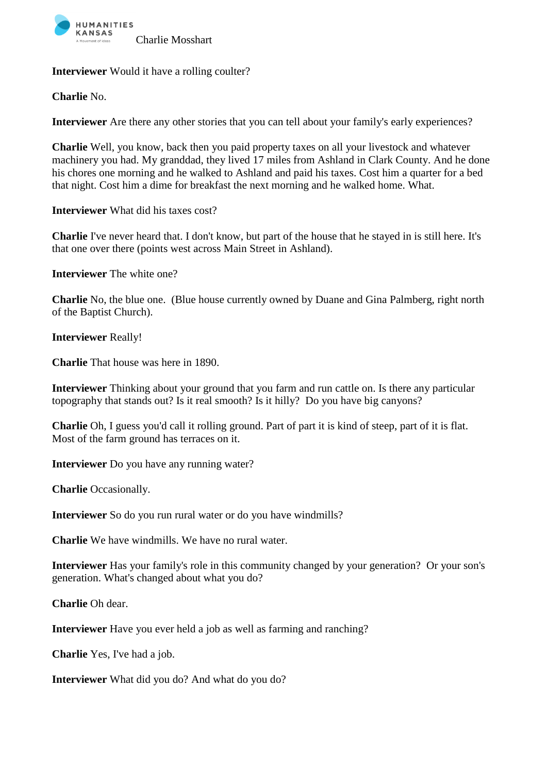

**Interviewer** Would it have a rolling coulter?

**Charlie** No.

**Interviewer** Are there any other stories that you can tell about your family's early experiences?

**Charlie** Well, you know, back then you paid property taxes on all your livestock and whatever machinery you had. My granddad, they lived 17 miles from Ashland in Clark County. And he done his chores one morning and he walked to Ashland and paid his taxes. Cost him a quarter for a bed that night. Cost him a dime for breakfast the next morning and he walked home. What.

**Interviewer** What did his taxes cost?

**Charlie** I've never heard that. I don't know, but part of the house that he stayed in is still here. It's that one over there (points west across Main Street in Ashland).

**Interviewer** The white one?

**Charlie** No, the blue one. (Blue house currently owned by Duane and Gina Palmberg, right north of the Baptist Church).

**Interviewer** Really!

**Charlie** That house was here in 1890.

**Interviewer** Thinking about your ground that you farm and run cattle on. Is there any particular topography that stands out? Is it real smooth? Is it hilly? Do you have big canyons?

**Charlie** Oh, I guess you'd call it rolling ground. Part of part it is kind of steep, part of it is flat. Most of the farm ground has terraces on it.

**Interviewer** Do you have any running water?

**Charlie** Occasionally.

**Interviewer** So do you run rural water or do you have windmills?

**Charlie** We have windmills. We have no rural water.

**Interviewer** Has your family's role in this community changed by your generation? Or your son's generation. What's changed about what you do?

**Charlie** Oh dear.

**Interviewer** Have you ever held a job as well as farming and ranching?

**Charlie** Yes, I've had a job.

**Interviewer** What did you do? And what do you do?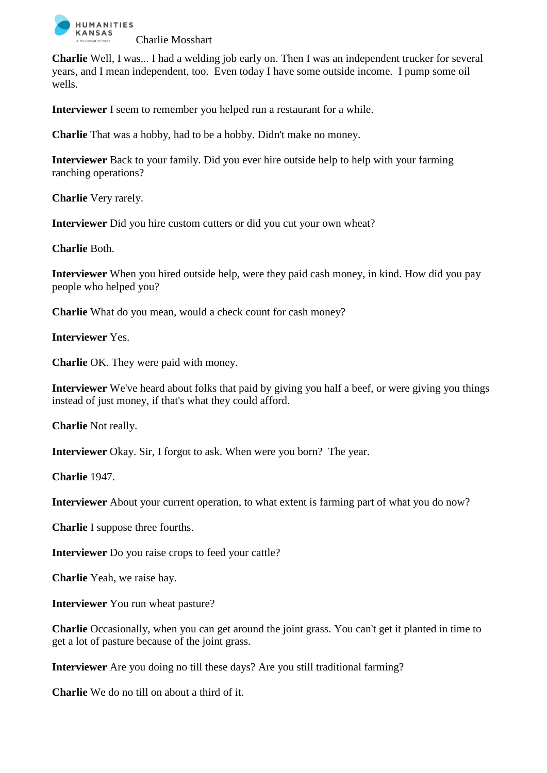

**Charlie** Well, I was... I had a welding job early on. Then I was an independent trucker for several years, and I mean independent, too. Even today I have some outside income. I pump some oil wells.

**Interviewer** I seem to remember you helped run a restaurant for a while.

**Charlie** That was a hobby, had to be a hobby. Didn't make no money.

**Interviewer** Back to your family. Did you ever hire outside help to help with your farming ranching operations?

**Charlie** Very rarely.

**Interviewer** Did you hire custom cutters or did you cut your own wheat?

**Charlie** Both.

**Interviewer** When you hired outside help, were they paid cash money, in kind. How did you pay people who helped you?

**Charlie** What do you mean, would a check count for cash money?

**Interviewer** Yes.

**Charlie** OK. They were paid with money.

**Interviewer** We've heard about folks that paid by giving you half a beef, or were giving you things instead of just money, if that's what they could afford.

**Charlie** Not really.

**Interviewer** Okay. Sir, I forgot to ask. When were you born? The year.

**Charlie** 1947.

**Interviewer** About your current operation, to what extent is farming part of what you do now?

**Charlie** I suppose three fourths.

**Interviewer** Do you raise crops to feed your cattle?

**Charlie** Yeah, we raise hay.

**Interviewer** You run wheat pasture?

**Charlie** Occasionally, when you can get around the joint grass. You can't get it planted in time to get a lot of pasture because of the joint grass.

**Interviewer** Are you doing no till these days? Are you still traditional farming?

**Charlie** We do no till on about a third of it.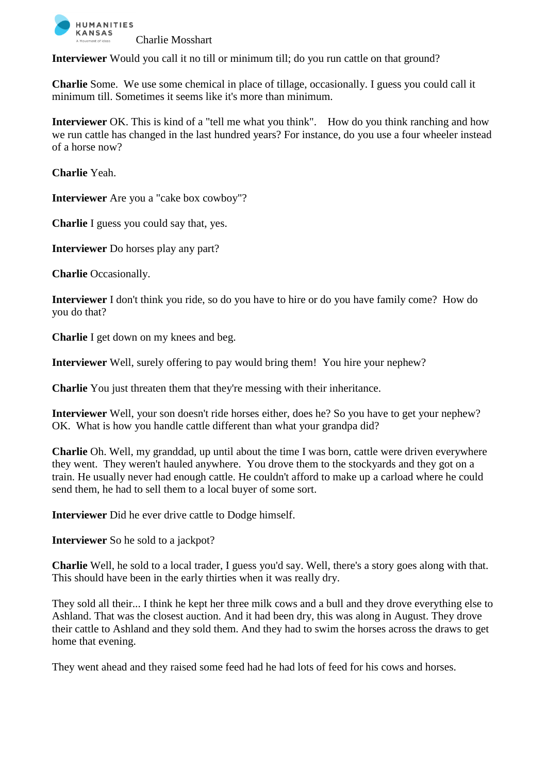

**Interviewer** Would you call it no till or minimum till; do you run cattle on that ground?

**Charlie** Some. We use some chemical in place of tillage, occasionally. I guess you could call it minimum till. Sometimes it seems like it's more than minimum.

**Interviewer** OK. This is kind of a "tell me what you think". How do you think ranching and how we run cattle has changed in the last hundred years? For instance, do you use a four wheeler instead of a horse now?

**Charlie** Yeah.

**Interviewer** Are you a "cake box cowboy"?

**Charlie** I guess you could say that, yes.

**Interviewer** Do horses play any part?

**Charlie** Occasionally.

**Interviewer** I don't think you ride, so do you have to hire or do you have family come? How do you do that?

**Charlie** I get down on my knees and beg.

**Interviewer** Well, surely offering to pay would bring them! You hire your nephew?

**Charlie** You just threaten them that they're messing with their inheritance.

**Interviewer** Well, your son doesn't ride horses either, does he? So you have to get your nephew? OK. What is how you handle cattle different than what your grandpa did?

**Charlie** Oh. Well, my granddad, up until about the time I was born, cattle were driven everywhere they went. They weren't hauled anywhere. You drove them to the stockyards and they got on a train. He usually never had enough cattle. He couldn't afford to make up a carload where he could send them, he had to sell them to a local buyer of some sort.

**Interviewer** Did he ever drive cattle to Dodge himself.

**Interviewer** So he sold to a jackpot?

**Charlie** Well, he sold to a local trader, I guess you'd say. Well, there's a story goes along with that. This should have been in the early thirties when it was really dry.

They sold all their... I think he kept her three milk cows and a bull and they drove everything else to Ashland. That was the closest auction. And it had been dry, this was along in August. They drove their cattle to Ashland and they sold them. And they had to swim the horses across the draws to get home that evening.

They went ahead and they raised some feed had he had lots of feed for his cows and horses.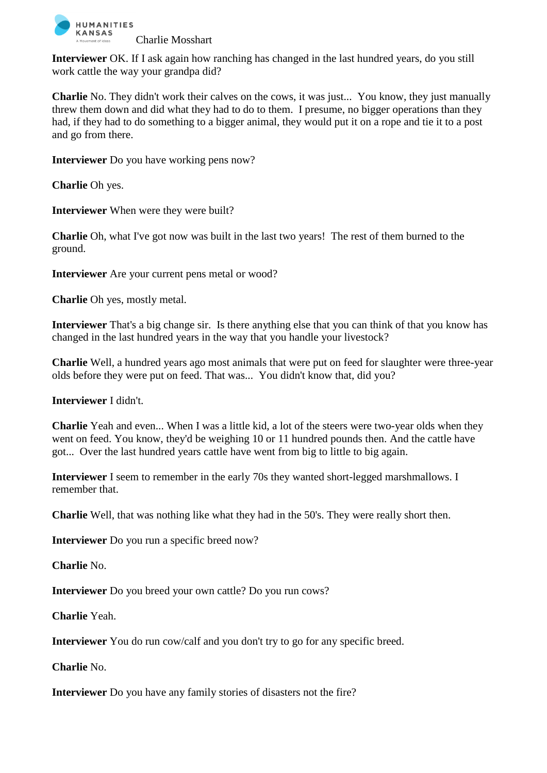

**Interviewer** OK. If I ask again how ranching has changed in the last hundred years, do you still work cattle the way your grandpa did?

**Charlie** No. They didn't work their calves on the cows, it was just... You know, they just manually threw them down and did what they had to do to them. I presume, no bigger operations than they had, if they had to do something to a bigger animal, they would put it on a rope and tie it to a post and go from there.

**Interviewer** Do you have working pens now?

**Charlie** Oh yes.

**Interviewer** When were they were built?

**Charlie** Oh, what I've got now was built in the last two years! The rest of them burned to the ground.

**Interviewer** Are your current pens metal or wood?

**Charlie** Oh yes, mostly metal.

**Interviewer** That's a big change sir. Is there anything else that you can think of that you know has changed in the last hundred years in the way that you handle your livestock?

**Charlie** Well, a hundred years ago most animals that were put on feed for slaughter were three-year olds before they were put on feed. That was... You didn't know that, did you?

**Interviewer** I didn't.

**Charlie** Yeah and even... When I was a little kid, a lot of the steers were two-year olds when they went on feed. You know, they'd be weighing 10 or 11 hundred pounds then. And the cattle have got... Over the last hundred years cattle have went from big to little to big again.

**Interviewer** I seem to remember in the early 70s they wanted short-legged marshmallows. I remember that.

**Charlie** Well, that was nothing like what they had in the 50's. They were really short then.

**Interviewer** Do you run a specific breed now?

**Charlie** No.

**Interviewer** Do you breed your own cattle? Do you run cows?

**Charlie** Yeah.

**Interviewer** You do run cow/calf and you don't try to go for any specific breed.

**Charlie** No.

**Interviewer** Do you have any family stories of disasters not the fire?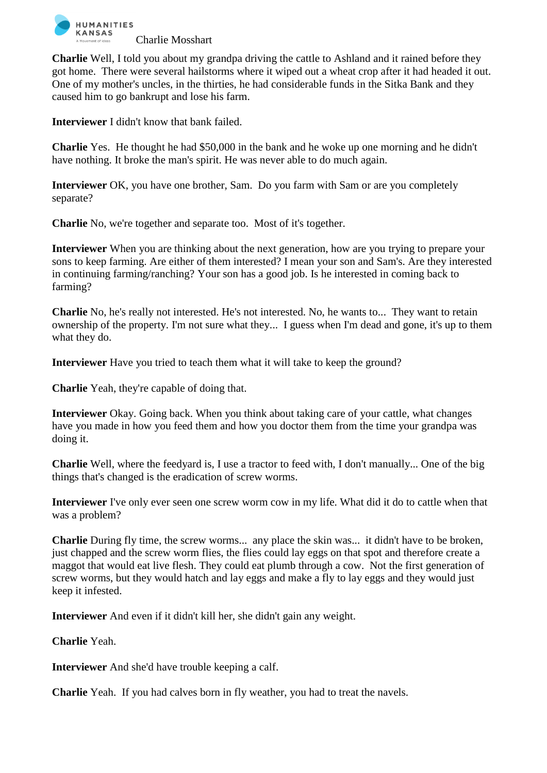

**Charlie** Well, I told you about my grandpa driving the cattle to Ashland and it rained before they got home. There were several hailstorms where it wiped out a wheat crop after it had headed it out. One of my mother's uncles, in the thirties, he had considerable funds in the Sitka Bank and they caused him to go bankrupt and lose his farm.

**Interviewer** I didn't know that bank failed.

**Charlie** Yes. He thought he had \$50,000 in the bank and he woke up one morning and he didn't have nothing. It broke the man's spirit. He was never able to do much again.

**Interviewer** OK, you have one brother, Sam. Do you farm with Sam or are you completely separate?

**Charlie** No, we're together and separate too. Most of it's together.

**Interviewer** When you are thinking about the next generation, how are you trying to prepare your sons to keep farming. Are either of them interested? I mean your son and Sam's. Are they interested in continuing farming/ranching? Your son has a good job. Is he interested in coming back to farming?

**Charlie** No, he's really not interested. He's not interested. No, he wants to... They want to retain ownership of the property. I'm not sure what they... I guess when I'm dead and gone, it's up to them what they do.

**Interviewer** Have you tried to teach them what it will take to keep the ground?

**Charlie** Yeah, they're capable of doing that.

**Interviewer** Okay. Going back. When you think about taking care of your cattle, what changes have you made in how you feed them and how you doctor them from the time your grandpa was doing it.

**Charlie** Well, where the feedyard is, I use a tractor to feed with, I don't manually... One of the big things that's changed is the eradication of screw worms.

**Interviewer** I've only ever seen one screw worm cow in my life. What did it do to cattle when that was a problem?

**Charlie** During fly time, the screw worms... any place the skin was... it didn't have to be broken, just chapped and the screw worm flies, the flies could lay eggs on that spot and therefore create a maggot that would eat live flesh. They could eat plumb through a cow. Not the first generation of screw worms, but they would hatch and lay eggs and make a fly to lay eggs and they would just keep it infested.

**Interviewer** And even if it didn't kill her, she didn't gain any weight.

**Charlie** Yeah.

**Interviewer** And she'd have trouble keeping a calf.

**Charlie** Yeah. If you had calves born in fly weather, you had to treat the navels.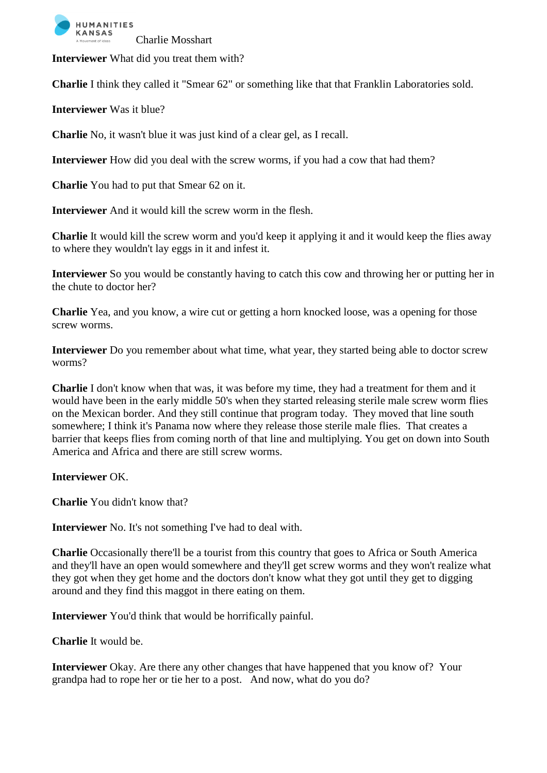

**Interviewer** What did you treat them with?

**Charlie** I think they called it "Smear 62" or something like that that Franklin Laboratories sold.

**Interviewer** Was it blue?

**Charlie** No, it wasn't blue it was just kind of a clear gel, as I recall.

**Interviewer** How did you deal with the screw worms, if you had a cow that had them?

**Charlie** You had to put that Smear 62 on it.

**Interviewer** And it would kill the screw worm in the flesh.

**Charlie** It would kill the screw worm and you'd keep it applying it and it would keep the flies away to where they wouldn't lay eggs in it and infest it.

**Interviewer** So you would be constantly having to catch this cow and throwing her or putting her in the chute to doctor her?

**Charlie** Yea, and you know, a wire cut or getting a horn knocked loose, was a opening for those screw worms.

**Interviewer** Do you remember about what time, what year, they started being able to doctor screw worms?

**Charlie** I don't know when that was, it was before my time, they had a treatment for them and it would have been in the early middle 50's when they started releasing sterile male screw worm flies on the Mexican border. And they still continue that program today. They moved that line south somewhere; I think it's Panama now where they release those sterile male flies. That creates a barrier that keeps flies from coming north of that line and multiplying. You get on down into South America and Africa and there are still screw worms.

**Interviewer** OK.

**Charlie** You didn't know that?

**Interviewer** No. It's not something I've had to deal with.

**Charlie** Occasionally there'll be a tourist from this country that goes to Africa or South America and they'll have an open would somewhere and they'll get screw worms and they won't realize what they got when they get home and the doctors don't know what they got until they get to digging around and they find this maggot in there eating on them.

**Interviewer** You'd think that would be horrifically painful.

**Charlie** It would be.

**Interviewer** Okay. Are there any other changes that have happened that you know of? Your grandpa had to rope her or tie her to a post. And now, what do you do?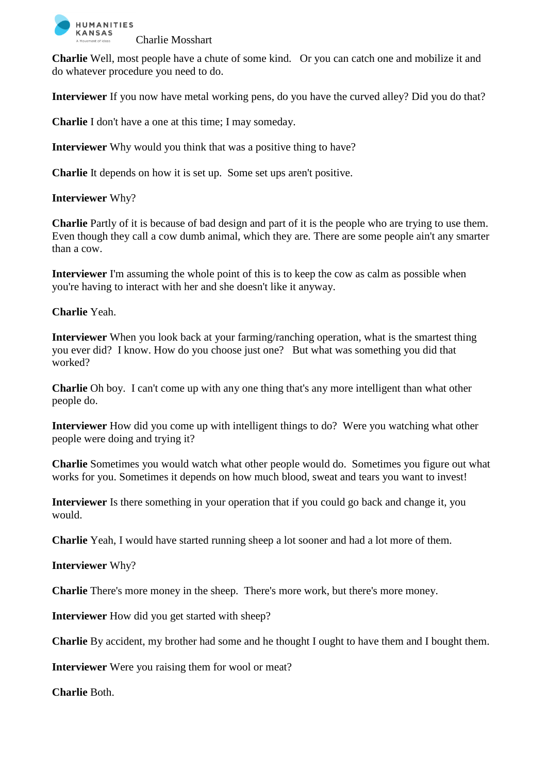

**Charlie** Well, most people have a chute of some kind. Or you can catch one and mobilize it and do whatever procedure you need to do.

**Interviewer** If you now have metal working pens, do you have the curved alley? Did you do that?

**Charlie** I don't have a one at this time; I may someday.

**Interviewer** Why would you think that was a positive thing to have?

**Charlie** It depends on how it is set up. Some set ups aren't positive.

## **Interviewer** Why?

**Charlie** Partly of it is because of bad design and part of it is the people who are trying to use them. Even though they call a cow dumb animal, which they are. There are some people ain't any smarter than a cow.

**Interviewer** I'm assuming the whole point of this is to keep the cow as calm as possible when you're having to interact with her and she doesn't like it anyway.

## **Charlie** Yeah.

**Interviewer** When you look back at your farming/ranching operation, what is the smartest thing you ever did? I know. How do you choose just one? But what was something you did that worked?

**Charlie** Oh boy. I can't come up with any one thing that's any more intelligent than what other people do.

**Interviewer** How did you come up with intelligent things to do? Were you watching what other people were doing and trying it?

**Charlie** Sometimes you would watch what other people would do. Sometimes you figure out what works for you. Sometimes it depends on how much blood, sweat and tears you want to invest!

**Interviewer** Is there something in your operation that if you could go back and change it, you would.

**Charlie** Yeah, I would have started running sheep a lot sooner and had a lot more of them.

## **Interviewer** Why?

**Charlie** There's more money in the sheep. There's more work, but there's more money.

**Interviewer** How did you get started with sheep?

**Charlie** By accident, my brother had some and he thought I ought to have them and I bought them.

**Interviewer** Were you raising them for wool or meat?

**Charlie** Both.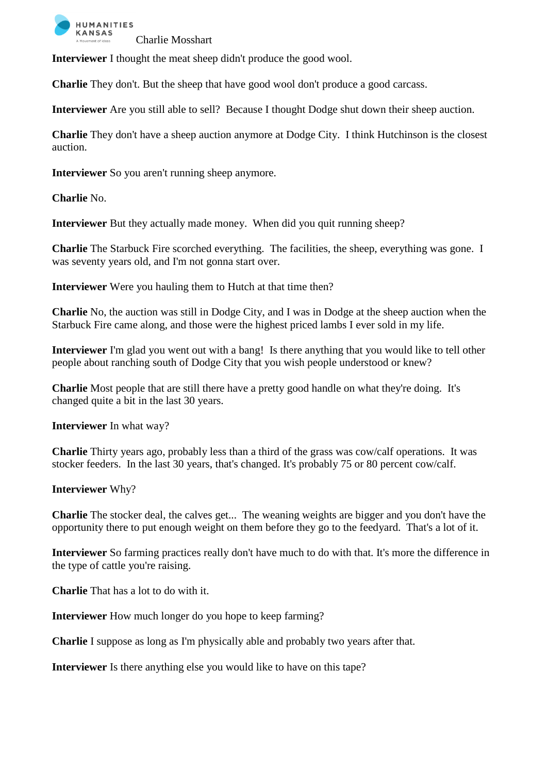

**Interviewer** I thought the meat sheep didn't produce the good wool.

**Charlie** They don't. But the sheep that have good wool don't produce a good carcass.

**Interviewer** Are you still able to sell? Because I thought Dodge shut down their sheep auction.

**Charlie** They don't have a sheep auction anymore at Dodge City. I think Hutchinson is the closest auction.

**Interviewer** So you aren't running sheep anymore.

**Charlie** No.

**Interviewer** But they actually made money. When did you quit running sheep?

**Charlie** The Starbuck Fire scorched everything. The facilities, the sheep, everything was gone. I was seventy years old, and I'm not gonna start over.

**Interviewer** Were you hauling them to Hutch at that time then?

**Charlie** No, the auction was still in Dodge City, and I was in Dodge at the sheep auction when the Starbuck Fire came along, and those were the highest priced lambs I ever sold in my life.

**Interviewer** I'm glad you went out with a bang! Is there anything that you would like to tell other people about ranching south of Dodge City that you wish people understood or knew?

**Charlie** Most people that are still there have a pretty good handle on what they're doing. It's changed quite a bit in the last 30 years.

**Interviewer** In what way?

**Charlie** Thirty years ago, probably less than a third of the grass was cow/calf operations. It was stocker feeders. In the last 30 years, that's changed. It's probably 75 or 80 percent cow/calf.

**Interviewer** Why?

**Charlie** The stocker deal, the calves get... The weaning weights are bigger and you don't have the opportunity there to put enough weight on them before they go to the feedyard. That's a lot of it.

**Interviewer** So farming practices really don't have much to do with that. It's more the difference in the type of cattle you're raising.

**Charlie** That has a lot to do with it.

**Interviewer** How much longer do you hope to keep farming?

**Charlie** I suppose as long as I'm physically able and probably two years after that.

**Interviewer** Is there anything else you would like to have on this tape?